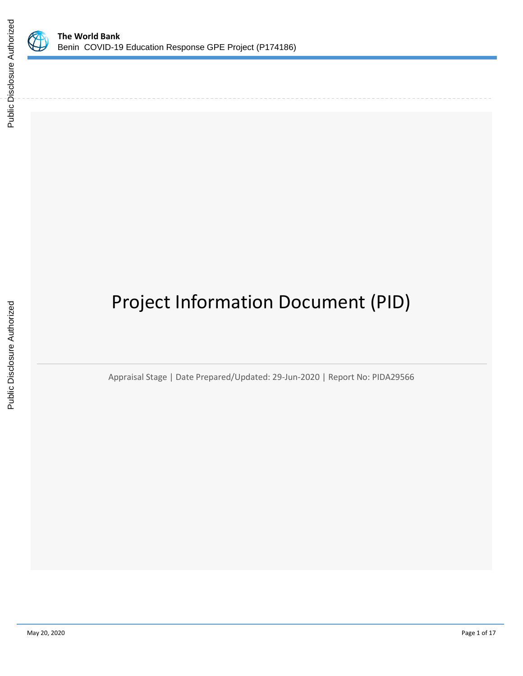

# Project Information Document (PID)

Appraisal Stage | Date Prepared/Updated: 29-Jun-2020 | Report No: PIDA29566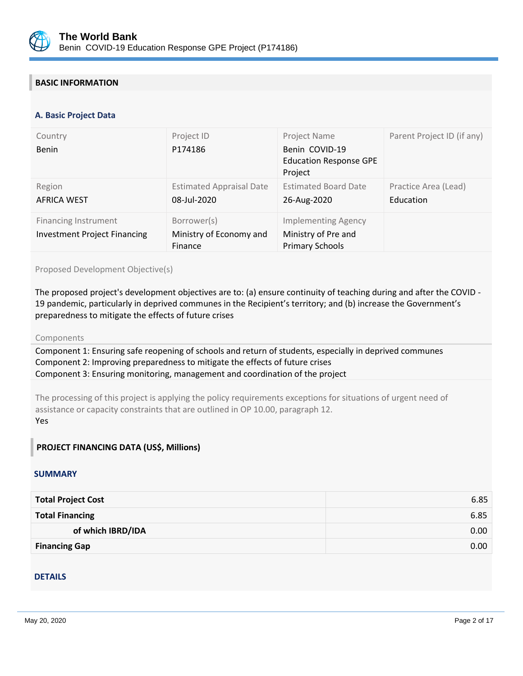

## **BASIC INFORMATION**

#### **OPS\_TABLE\_BASIC\_DATA A. Basic Project Data**

| Country<br>Benin                                                   | Project ID<br>P174186                             | Project Name<br>Benin COVID-19<br><b>Education Response GPE</b><br>Project  | Parent Project ID (if any)        |
|--------------------------------------------------------------------|---------------------------------------------------|-----------------------------------------------------------------------------|-----------------------------------|
| Region<br><b>AFRICA WEST</b>                                       | <b>Estimated Appraisal Date</b><br>08-Jul-2020    | <b>Estimated Board Date</b><br>26-Aug-2020                                  | Practice Area (Lead)<br>Education |
| <b>Financing Instrument</b><br><b>Investment Project Financing</b> | Borrower(s)<br>Ministry of Economy and<br>Finance | <b>Implementing Agency</b><br>Ministry of Pre and<br><b>Primary Schools</b> |                                   |

#### Proposed Development Objective(s)

The proposed project's development objectives are to: (a) ensure continuity of teaching during and after the COVID - 19 pandemic, particularly in deprived communes in the Recipient's territory; and (b) increase the Government's preparedness to mitigate the effects of future crises

#### Components

Component 1: Ensuring safe reopening of schools and return of students, especially in deprived communes Component 2: Improving preparedness to mitigate the effects of future crises Component 3: Ensuring monitoring, management and coordination of the project

The processing of this project is applying the policy requirements exceptions for situations of urgent need of assistance or capacity constraints that are outlined in OP 10.00, paragraph 12. Yes

## **PROJECT FINANCING DATA (US\$, Millions)**

### **SUMMARY**

| <b>Total Project Cost</b> | 6.85 |
|---------------------------|------|
| <b>Total Financing</b>    | 6.85 |
| of which IBRD/IDA         | 0.00 |
| <b>Financing Gap</b>      | 0.00 |

#### DETAILS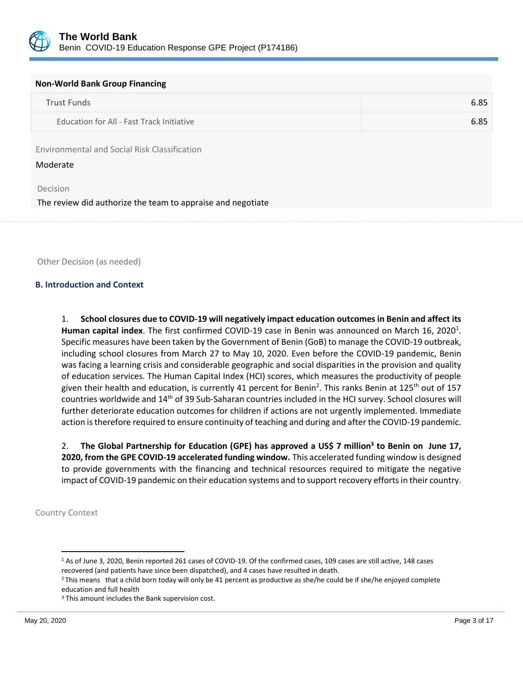

#### **Non-World Bank Group Financing**

| Trust Funds                               | 6.85 |
|-------------------------------------------|------|
| Education for All - Fast Track Initiative | 6.85 |

Environmental and Social Risk Classification

Moderate

Decision

The review did authorize the team to appraise and negotiate

Other Decision (as needed)

#### **B. Introduction and Context**

1. **School closures due to COVID-19 will negatively impact education outcomes in Benin and affect its** Human capital index. The first confirmed COVID-19 case in Benin was announced on March 16, 2020<sup>1</sup>. Specific measures have been taken by the Government of Benin (GoB) to manage the COVID-19 outbreak, including school closures from March 27 to May 10, 2020. Even before the COVID-19 pandemic, Benin was facing a learning crisis and considerable geographic and social disparities in the provision and quality of education services. The Human Capital Index (HCI) scores, which measures the productivity of people given their health and education, is currently 41 percent for Benin<sup>2</sup>. This ranks Benin at 125<sup>th</sup> out of 157 countries worldwide and 14th of 39 Sub-Saharan countries included in the HCI survey. School closures will further deteriorate education outcomes for children if actions are not urgently implemented. Immediate action is therefore required to ensure continuity of teaching and during and after the COVID-19 pandemic.

2. **The Global Partnership for Education (GPE) has approved a US\$ 7 million<sup>3</sup> to Benin on June 17, 2020, from the GPE COVID-19 accelerated funding window.** This accelerated funding window is designed to provide governments with the financing and technical resources required to mitigate the negative impact of COVID-19 pandemic on their education systems and to support recovery efforts in their country.

Country Context

<sup>1</sup> As of June 3, 2020, Benin reported 261 cases of COVID-19. Of the confirmed cases, 109 cases are still active, 148 cases recovered (and patients have since been dispatched), and 4 cases have resulted in death.

<sup>2</sup> This means that a child born today will only be 41 percent as productive as she/he could be if she/he enjoyed complete education and full health

<sup>&</sup>lt;sup>3</sup> This amount includes the Bank supervision cost.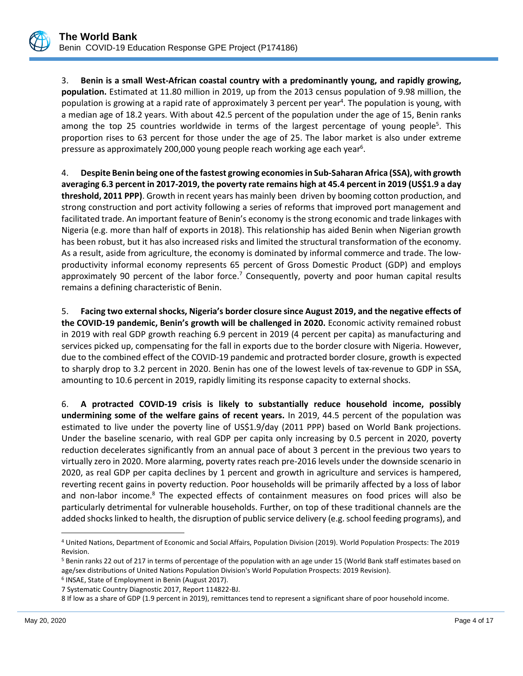

3. **Benin is a small West-African coastal country with a predominantly young, and rapidly growing, population.** Estimated at 11.80 million in 2019, up from the 2013 census population of 9.98 million, the population is growing at a rapid rate of approximately 3 percent per year<sup>4</sup>. The population is young, with a median age of 18.2 years. With about 42.5 percent of the population under the age of 15, Benin ranks among the top 25 countries worldwide in terms of the largest percentage of young people<sup>5</sup>. This proportion rises to 63 percent for those under the age of 25. The labor market is also under extreme pressure as approximately 200,000 young people reach working age each year<sup>6</sup>.

4. **Despite Benin being one of the fastest growing economies in Sub-Saharan Africa (SSA), with growth averaging 6.3 percent in 2017-2019, the poverty rate remains high at 45.4 percent in 2019 (US\$1.9 a day threshold, 2011 PPP)**. Growth in recent years has mainly been driven by booming cotton production, and strong construction and port activity following a series of reforms that improved port management and facilitated trade. An important feature of Benin's economy is the strong economic and trade linkages with Nigeria (e.g. more than half of exports in 2018). This relationship has aided Benin when Nigerian growth has been robust, but it has also increased risks and limited the structural transformation of the economy. As a result, aside from agriculture, the economy is dominated by informal commerce and trade. The lowproductivity informal economy represents 65 percent of Gross Domestic Product (GDP) and employs approximately 90 percent of the labor force.<sup>7</sup> Consequently, poverty and poor human capital results remains a defining characteristic of Benin.

5. **Facing two external shocks, Nigeria's border closure since August 2019, and the negative effects of the COVID-19 pandemic, Benin's growth will be challenged in 2020.** Economic activity remained robust in 2019 with real GDP growth reaching 6.9 percent in 2019 (4 percent per capita) as manufacturing and services picked up, compensating for the fall in exports due to the border closure with Nigeria. However, due to the combined effect of the COVID-19 pandemic and protracted border closure, growth is expected to sharply drop to 3.2 percent in 2020. Benin has one of the lowest levels of tax-revenue to GDP in SSA, amounting to 10.6 percent in 2019, rapidly limiting its response capacity to external shocks.

6. **A protracted COVID-19 crisis is likely to substantially reduce household income, possibly undermining some of the welfare gains of recent years.** In 2019, 44.5 percent of the population was estimated to live under the poverty line of US\$1.9/day (2011 PPP) based on World Bank projections. Under the baseline scenario, with real GDP per capita only increasing by 0.5 percent in 2020, poverty reduction decelerates significantly from an annual pace of about 3 percent in the previous two years to virtually zero in 2020. More alarming, poverty rates reach pre-2016 levels under the downside scenario in 2020, as real GDP per capita declines by 1 percent and growth in agriculture and services is hampered, reverting recent gains in poverty reduction. Poor households will be primarily affected by a loss of labor and non-labor income.<sup>8</sup> The expected effects of containment measures on food prices will also be particularly detrimental for vulnerable households. Further, on top of these traditional channels are the added shocks linked to health, the disruption of public service delivery (e.g. school feeding programs), and

<sup>4</sup> United Nations, Department of Economic and Social Affairs, Population Division (2019). World Population Prospects: The 2019 Revision.

<sup>5</sup> Benin ranks 22 out of 217 in terms of percentage of the population with an age under 15 (World Bank staff estimates based on age/sex distributions of United Nations Population Division's World Population Prospects: 2019 Revision).

<sup>6</sup> INSAE, State of Employment in Benin (August 2017).

<sup>7</sup> Systematic Country Diagnostic 2017, Report 114822-BJ.

<sup>8</sup> If low as a share of GDP (1.9 percent in 2019), remittances tend to represent a significant share of poor household income.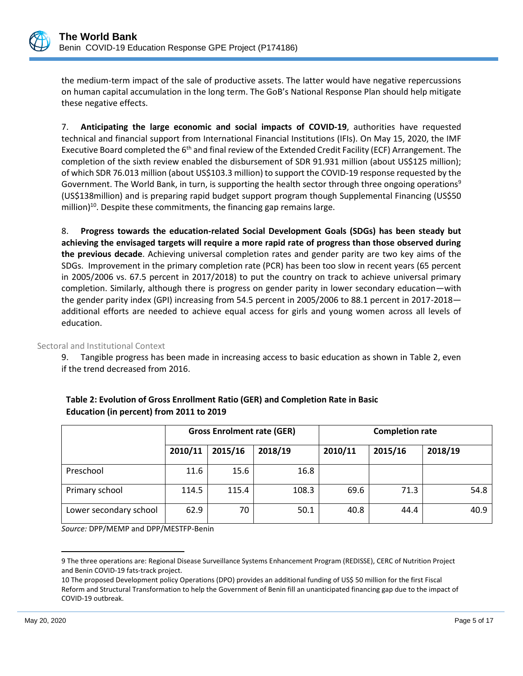

the medium-term impact of the sale of productive assets. The latter would have negative repercussions on human capital accumulation in the long term. The GoB's National Response Plan should help mitigate these negative effects.

7. **Anticipating the large economic and social impacts of COVID-19**, authorities have requested technical and financial support from International Financial Institutions (IFIs). On May 15, 2020, the IMF Executive Board completed the 6<sup>th</sup> and final review of the Extended Credit Facility (ECF) Arrangement. The completion of the sixth review enabled the disbursement of SDR 91.931 million (about US\$125 million); of which SDR 76.013 million (about US\$103.3 million) to support the COVID-19 response requested by the Government. The World Bank, in turn, is supporting the health sector through three ongoing operations<sup>9</sup> (US\$138million) and is preparing rapid budget support program though Supplemental Financing (US\$50 million)<sup>10</sup>. Despite these commitments, the financing gap remains large.

8. **Progress towards the education-related Social Development Goals (SDGs) has been steady but achieving the envisaged targets will require a more rapid rate of progress than those observed during the previous decade**. Achieving universal completion rates and gender parity are two key aims of the SDGs. Improvement in the primary completion rate (PCR) has been too slow in recent years (65 percent in 2005/2006 vs. 67.5 percent in 2017/2018) to put the country on track to achieve universal primary completion. Similarly, although there is progress on gender parity in lower secondary education—with the gender parity index (GPI) increasing from 54.5 percent in 2005/2006 to 88.1 percent in 2017-2018 additional efforts are needed to achieve equal access for girls and young women across all levels of education.

Sectoral and Institutional Context

9. Tangible progress has been made in increasing access to basic education as shown in Table 2, even if the trend decreased from 2016.

|                        | <b>Gross Enrolment rate (GER)</b> |         | <b>Completion rate</b> |         |         |         |
|------------------------|-----------------------------------|---------|------------------------|---------|---------|---------|
|                        | 2010/11                           | 2015/16 | 2018/19                | 2010/11 | 2015/16 | 2018/19 |
| Preschool              | 11.6                              | 15.6    | 16.8                   |         |         |         |
| Primary school         | 114.5                             | 115.4   | 108.3                  | 69.6    | 71.3    | 54.8    |
| Lower secondary school | 62.9                              | 70      | 50.1                   | 40.8    | 44.4    | 40.9    |

| Table 2: Evolution of Gross Enrollment Ratio (GER) and Completion Rate in Basic |
|---------------------------------------------------------------------------------|
| Education (in percent) from 2011 to 2019                                        |

*Source:* DPP/MEMP and DPP/MESTFP-Benin

<sup>9</sup> The three operations are: Regional Disease Surveillance Systems Enhancement Program (REDISSE), CERC of Nutrition Project and Benin COVID-19 fats-track project.

<sup>10</sup> The proposed Development policy Operations (DPO) provides an additional funding of US\$ 50 million for the first Fiscal Reform and Structural Transformation to help the Government of Benin fill an unanticipated financing gap due to the impact of COVID-19 outbreak.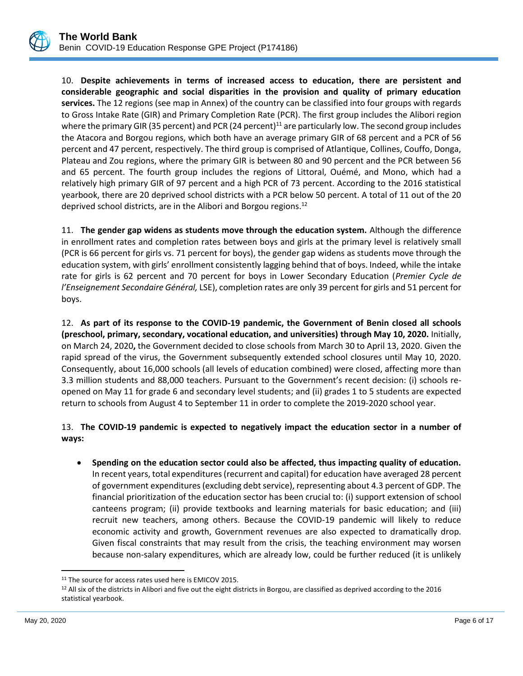

10. **Despite achievements in terms of increased access to education, there are persistent and considerable geographic and social disparities in the provision and quality of primary education services.** The 12 regions (see map in Annex) of the country can be classified into four groups with regards to Gross Intake Rate (GIR) and Primary Completion Rate (PCR). The first group includes the Alibori region where the primary GIR (35 percent) and PCR (24 percent)<sup>11</sup> are particularly low. The second group includes the Atacora and Borgou regions, which both have an average primary GIR of 68 percent and a PCR of 56 percent and 47 percent, respectively. The third group is comprised of Atlantique, Collines, Couffo, Donga, Plateau and Zou regions, where the primary GIR is between 80 and 90 percent and the PCR between 56 and 65 percent. The fourth group includes the regions of Littoral, Ouémé, and Mono, which had a relatively high primary GIR of 97 percent and a high PCR of 73 percent. According to the 2016 statistical yearbook, there are 20 deprived school districts with a PCR below 50 percent. A total of 11 out of the 20 deprived school districts, are in the Alibori and Borgou regions.<sup>12</sup>

11. **The gender gap widens as students move through the education system.** Although the difference in enrollment rates and completion rates between boys and girls at the primary level is relatively small (PCR is 66 percent for girls vs. 71 percent for boys), the gender gap widens as students move through the education system, with girls' enrollment consistently lagging behind that of boys. Indeed, while the intake rate for girls is 62 percent and 70 percent for boys in Lower Secondary Education (*Premier Cycle de l'Enseignement Secondaire Général,* LSE), completion rates are only 39 percent for girls and 51 percent for boys.

12. **As part of its response to the COVID-19 pandemic, the Government of Benin closed all schools (preschool, primary, secondary, vocational education, and universities) through May 10, 2020.** Initially, on March 24, 2020**,** the Government decided to close schools from March 30 to April 13, 2020. Given the rapid spread of the virus, the Government subsequently extended school closures until May 10, 2020. Consequently, about 16,000 schools (all levels of education combined) were closed, affecting more than 3.3 million students and 88,000 teachers. Pursuant to the Government's recent decision: (i) schools reopened on May 11 for grade 6 and secondary level students; and (ii) grades 1 to 5 students are expected return to schools from August 4 to September 11 in order to complete the 2019-2020 school year.

## 13. **The COVID-19 pandemic is expected to negatively impact the education sector in a number of ways:**

• **Spending on the education sector could also be affected, thus impacting quality of education.** In recent years, total expenditures (recurrent and capital) for education have averaged 28 percent of government expenditures (excluding debt service), representing about 4.3 percent of GDP. The financial prioritization of the education sector has been crucial to: (i) support extension of school canteens program; (ii) provide textbooks and learning materials for basic education; and (iii) recruit new teachers, among others. Because the COVID-19 pandemic will likely to reduce economic activity and growth, Government revenues are also expected to dramatically drop. Given fiscal constraints that may result from the crisis, the teaching environment may worsen because non-salary expenditures, which are already low, could be further reduced (it is unlikely

<sup>&</sup>lt;sup>11</sup> The source for access rates used here is EMICOV 2015.

<sup>&</sup>lt;sup>12</sup> All six of the districts in Alibori and five out the eight districts in Borgou, are classified as deprived according to the 2016 statistical yearbook.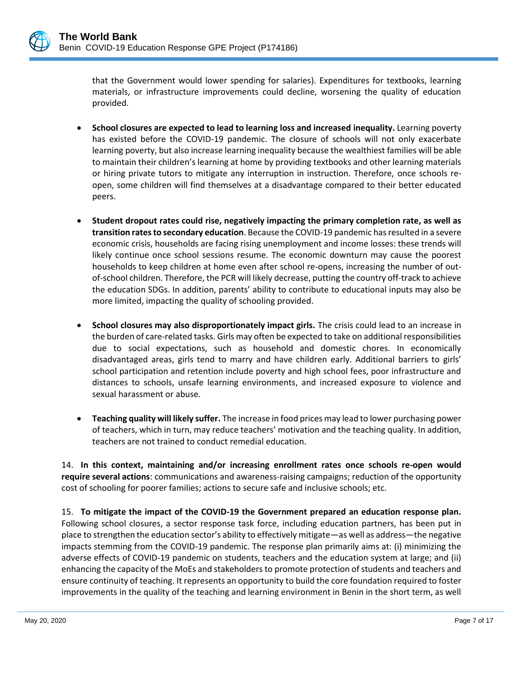that the Government would lower spending for salaries). Expenditures for textbooks, learning materials, or infrastructure improvements could decline, worsening the quality of education provided.

- **School closures are expected to lead to learning loss and increased inequality.** Learning poverty has existed before the COVID-19 pandemic. The closure of schools will not only exacerbate learning poverty, but also increase learning inequality because the wealthiest families will be able to maintain their children's learning at home by providing textbooks and other learning materials or hiring private tutors to mitigate any interruption in instruction. Therefore, once schools reopen, some children will find themselves at a disadvantage compared to their better educated peers.
- **Student dropout rates could rise, negatively impacting the primary completion rate, as well as transition rates to secondary education**. Because the COVID-19 pandemic has resulted in a severe economic crisis, households are facing rising unemployment and income losses: these trends will likely continue once school sessions resume. The economic downturn may cause the poorest households to keep children at home even after school re-opens, increasing the number of outof-school children. Therefore, the PCR will likely decrease, putting the country off-track to achieve the education SDGs. In addition, parents' ability to contribute to educational inputs may also be more limited, impacting the quality of schooling provided.
- **School closures may also disproportionately impact girls.** The crisis could lead to an increase in the burden of care-related tasks. Girls may often be expected to take on additional responsibilities due to social expectations, such as household and domestic chores. In economically disadvantaged areas, girls tend to marry and have children early. Additional barriers to girls' school participation and retention include poverty and high school fees, poor infrastructure and distances to schools, unsafe learning environments, and increased exposure to violence and sexual harassment or abuse.
- **Teaching quality will likely suffer.** The increase in food prices may lead to lower purchasing power of teachers, which in turn, may reduce teachers' motivation and the teaching quality. In addition, teachers are not trained to conduct remedial education.

14. **In this context, maintaining and/or increasing enrollment rates once schools re-open would require several actions**: communications and awareness-raising campaigns; reduction of the opportunity cost of schooling for poorer families; actions to secure safe and inclusive schools; etc.

15. **To mitigate the impact of the COVID-19 the Government prepared an education response plan.** Following school closures, a sector response task force, including education partners, has been put in place to strengthen the education sector's ability to effectively mitigate—as well as address—the negative impacts stemming from the COVID-19 pandemic. The response plan primarily aims at: (i) minimizing the adverse effects of COVID-19 pandemic on students, teachers and the education system at large; and (ii) enhancing the capacity of the MoEs and stakeholders to promote protection of students and teachers and ensure continuity of teaching. It represents an opportunity to build the core foundation required to foster improvements in the quality of the teaching and learning environment in Benin in the short term, as well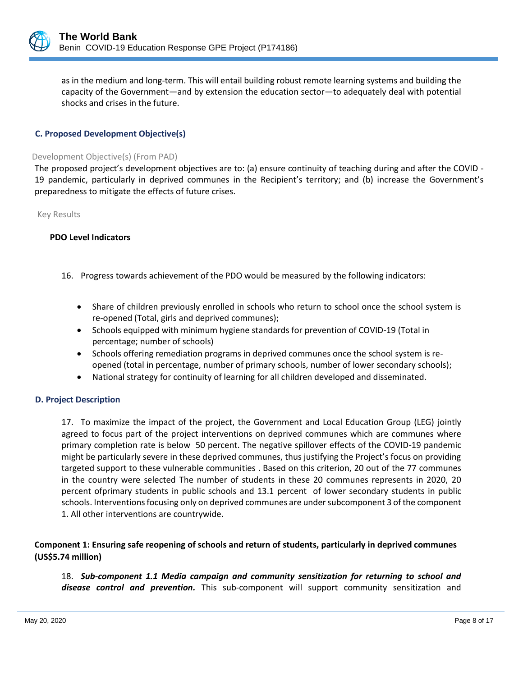

as in the medium and long-term. This will entail building robust remote learning systems and building the capacity of the Government—and by extension the education sector—to adequately deal with potential shocks and crises in the future.

## **C. Proposed Development Objective(s)**

#### Development Objective(s) (From PAD)

The proposed project's development objectives are to: (a) ensure continuity of teaching during and after the COVID - 19 pandemic, particularly in deprived communes in the Recipient's territory; and (b) increase the Government's preparedness to mitigate the effects of future crises.

Key Results

#### **PDO Level Indicators**

- 16. Progress towards achievement of the PDO would be measured by the following indicators:
	- Share of children previously enrolled in schools who return to school once the school system is re-opened (Total, girls and deprived communes);
	- Schools equipped with minimum hygiene standards for prevention of COVID-19 (Total in percentage; number of schools)
	- Schools offering remediation programs in deprived communes once the school system is reopened (total in percentage, number of primary schools, number of lower secondary schools);
	- National strategy for continuity of learning for all children developed and disseminated.

## **D. Project Description**

17. To maximize the impact of the project, the Government and Local Education Group (LEG) jointly agreed to focus part of the project interventions on deprived communes which are communes where primary completion rate is below 50 percent. The negative spillover effects of the COVID-19 pandemic might be particularly severe in these deprived communes, thus justifying the Project's focus on providing targeted support to these vulnerable communities . Based on this criterion, 20 out of the 77 communes in the country were selected The number of students in these 20 communes represents in 2020, 20 percent ofprimary students in public schools and 13.1 percent of lower secondary students in public schools. Interventions focusing only on deprived communes are under subcomponent 3 of the component 1. All other interventions are countrywide.

## **Component 1: Ensuring safe reopening of schools and return of students, particularly in deprived communes (US\$5.74 million)**

18. *Sub-component 1.1 Media campaign and community sensitization for returning to school and disease control and prevention.* This sub-component will support community sensitization and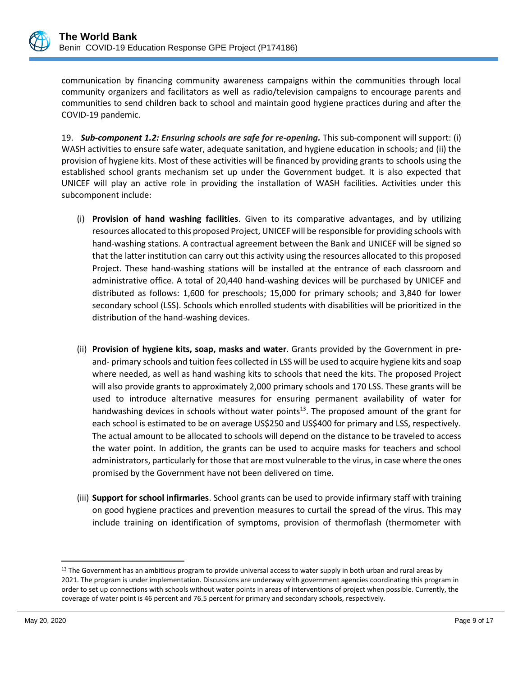

communication by financing community awareness campaigns within the communities through local community organizers and facilitators as well as radio/television campaigns to encourage parents and communities to send children back to school and maintain good hygiene practices during and after the COVID-19 pandemic.

19. *Sub-component 1.2: Ensuring schools are safe for re-opening.* This sub-component will support: (i) WASH activities to ensure safe water, adequate sanitation, and hygiene education in schools; and (ii) the provision of hygiene kits. Most of these activities will be financed by providing grants to schools using the established school grants mechanism set up under the Government budget. It is also expected that UNICEF will play an active role in providing the installation of WASH facilities. Activities under this subcomponent include:

- (i) **Provision of hand washing facilities**. Given to its comparative advantages, and by utilizing resources allocated to this proposed Project, UNICEF will be responsible for providing schools with hand-washing stations. A contractual agreement between the Bank and UNICEF will be signed so that the latter institution can carry out this activity using the resources allocated to this proposed Project. These hand-washing stations will be installed at the entrance of each classroom and administrative office. A total of 20,440 hand-washing devices will be purchased by UNICEF and distributed as follows: 1,600 for preschools; 15,000 for primary schools; and 3,840 for lower secondary school (LSS). Schools which enrolled students with disabilities will be prioritized in the distribution of the hand-washing devices.
- (ii) **Provision of hygiene kits, soap, masks and water**. Grants provided by the Government in preand- primary schools and tuition fees collected in LSS will be used to acquire hygiene kits and soap where needed, as well as hand washing kits to schools that need the kits. The proposed Project will also provide grants to approximately 2,000 primary schools and 170 LSS. These grants will be used to introduce alternative measures for ensuring permanent availability of water for handwashing devices in schools without water points<sup>13</sup>. The proposed amount of the grant for each school is estimated to be on average US\$250 and US\$400 for primary and LSS, respectively. The actual amount to be allocated to schools will depend on the distance to be traveled to access the water point. In addition, the grants can be used to acquire masks for teachers and school administrators, particularly for those that are most vulnerable to the virus, in case where the ones promised by the Government have not been delivered on time.
- (iii) **Support for school infirmaries**. School grants can be used to provide infirmary staff with training on good hygiene practices and prevention measures to curtail the spread of the virus. This may include training on identification of symptoms, provision of thermoflash (thermometer with

<sup>&</sup>lt;sup>13</sup> The Government has an ambitious program to provide universal access to water supply in both urban and rural areas by 2021. The program is under implementation. Discussions are underway with government agencies coordinating this program in order to set up connections with schools without water points in areas of interventions of project when possible. Currently, the coverage of water point is 46 percent and 76.5 percent for primary and secondary schools, respectively.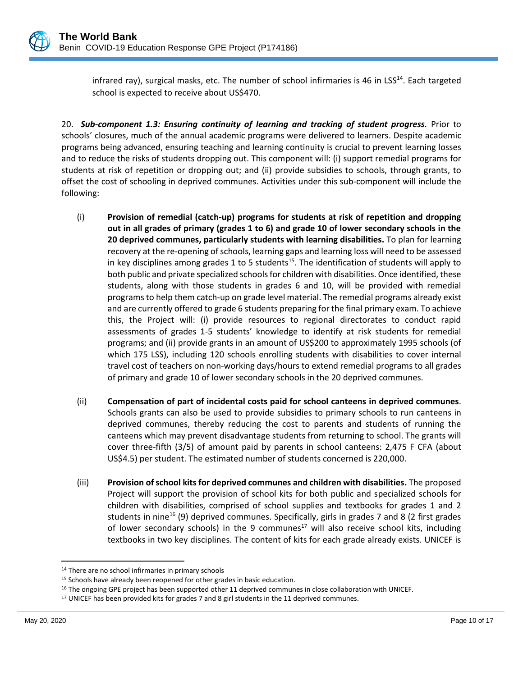infrared ray), surgical masks, etc. The number of school infirmaries is 46 in LSS<sup>14</sup>. Each targeted school is expected to receive about US\$470.

20. *Sub-component 1.3: Ensuring continuity of learning and tracking of student progress.* Prior to schools' closures, much of the annual academic programs were delivered to learners. Despite academic programs being advanced, ensuring teaching and learning continuity is crucial to prevent learning losses and to reduce the risks of students dropping out. This component will: (i) support remedial programs for students at risk of repetition or dropping out; and (ii) provide subsidies to schools, through grants, to offset the cost of schooling in deprived communes. Activities under this sub-component will include the following:

- (i) **Provision of remedial (catch-up) programs for students at risk of repetition and dropping out in all grades of primary (grades 1 to 6) and grade 10 of lower secondary schools in the 20 deprived communes, particularly students with learning disabilities.** To plan for learning recovery at the re-opening of schools, learning gaps and learning loss will need to be assessed in key disciplines among grades 1 to 5 students<sup>15</sup>. The identification of students will apply to both public and private specialized schools for children with disabilities. Once identified, these students, along with those students in grades 6 and 10, will be provided with remedial programs to help them catch-up on grade level material. The remedial programs already exist and are currently offered to grade 6 students preparing for the final primary exam. To achieve this, the Project will: (i) provide resources to regional directorates to conduct rapid assessments of grades 1-5 students' knowledge to identify at risk students for remedial programs; and (ii) provide grants in an amount of US\$200 to approximately 1995 schools (of which 175 LSS), including 120 schools enrolling students with disabilities to cover internal travel cost of teachers on non-working days/hours to extend remedial programs to all grades of primary and grade 10 of lower secondary schools in the 20 deprived communes.
- (ii) **Compensation of part of incidental costs paid for school canteens in deprived communes**. Schools grants can also be used to provide subsidies to primary schools to run canteens in deprived communes, thereby reducing the cost to parents and students of running the canteens which may prevent disadvantage students from returning to school. The grants will cover three-fifth (3/5) of amount paid by parents in school canteens: 2,475 F CFA (about US\$4.5) per student. The estimated number of students concerned is 220,000.
- (iii) **Provision of school kits for deprived communes and children with disabilities.** The proposed Project will support the provision of school kits for both public and specialized schools for children with disabilities, comprised of school supplies and textbooks for grades 1 and 2 students in nine<sup>16</sup> (9) deprived communes. Specifically, girls in grades 7 and 8 (2 first grades of lower secondary schools) in the 9 communes $^{17}$  will also receive school kits, including textbooks in two key disciplines. The content of kits for each grade already exists. UNICEF is

<sup>14</sup> There are no school infirmaries in primary schools

<sup>&</sup>lt;sup>15</sup> Schools have already been reopened for other grades in basic education.

<sup>&</sup>lt;sup>16</sup> The ongoing GPE project has been supported other 11 deprived communes in close collaboration with UNICEF.

<sup>&</sup>lt;sup>17</sup> UNICEF has been provided kits for grades 7 and 8 girl students in the 11 deprived communes.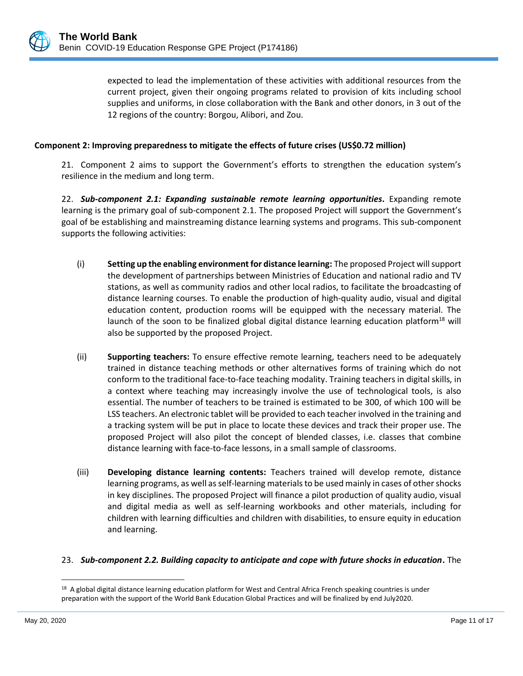expected to lead the implementation of these activities with additional resources from the current project, given their ongoing programs related to provision of kits including school supplies and uniforms, in close collaboration with the Bank and other donors, in 3 out of the 12 regions of the country: Borgou, Alibori, and Zou.

## **Component 2: Improving preparedness to mitigate the effects of future crises (US\$0.72 million)**

21. Component 2 aims to support the Government's efforts to strengthen the education system's resilience in the medium and long term.

22. *Sub-component 2.1: Expanding sustainable remote learning opportunities***.** Expanding remote learning is the primary goal of sub-component 2.1. The proposed Project will support the Government's goal of be establishing and mainstreaming distance learning systems and programs. This sub-component supports the following activities:

- (i) **Setting up the enabling environment for distance learning:** The proposed Project will support the development of partnerships between Ministries of Education and national radio and TV stations, as well as community radios and other local radios, to facilitate the broadcasting of distance learning courses. To enable the production of high-quality audio, visual and digital education content, production rooms will be equipped with the necessary material. The launch of the soon to be finalized global digital distance learning education platform<sup>18</sup> will also be supported by the proposed Project.
- (ii) **Supporting teachers:** To ensure effective remote learning, teachers need to be adequately trained in distance teaching methods or other alternatives forms of training which do not conform to the traditional face-to-face teaching modality. Training teachers in digital skills, in a context where teaching may increasingly involve the use of technological tools, is also essential. The number of teachers to be trained is estimated to be 300, of which 100 will be LSS teachers. An electronic tablet will be provided to each teacher involved in the training and a tracking system will be put in place to locate these devices and track their proper use. The proposed Project will also pilot the concept of blended classes, i.e. classes that combine distance learning with face-to-face lessons, in a small sample of classrooms.
- (iii) **Developing distance learning contents:** Teachers trained will develop remote, distance learning programs, as well as self-learning materials to be used mainly in cases of other shocks in key disciplines. The proposed Project will finance a pilot production of quality audio, visual and digital media as well as self-learning workbooks and other materials, including for children with learning difficulties and children with disabilities, to ensure equity in education and learning.

## 23. *Sub-component 2.2. Building capacity to anticipate and cope with future shocks in education***.** The

<sup>&</sup>lt;sup>18</sup> A global digital distance learning education platform for West and Central Africa French speaking countries is under preparation with the support of the World Bank Education Global Practices and will be finalized by end July2020.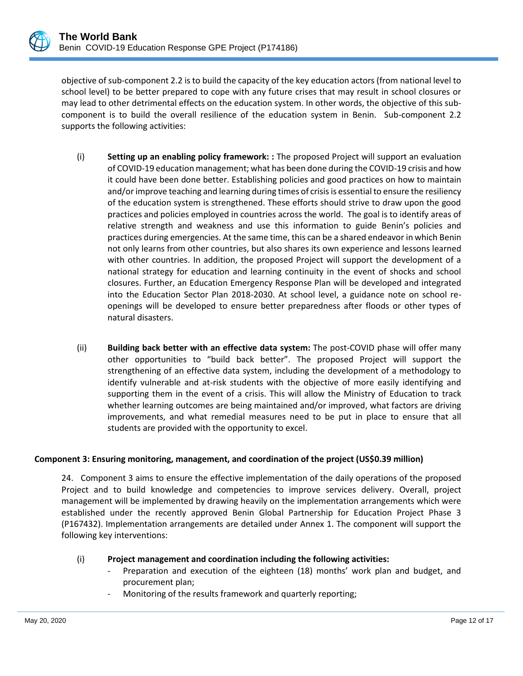objective of sub-component 2.2 is to build the capacity of the key education actors (from national level to school level) to be better prepared to cope with any future crises that may result in school closures or may lead to other detrimental effects on the education system. In other words, the objective of this subcomponent is to build the overall resilience of the education system in Benin. Sub-component 2.2 supports the following activities:

- (i) **Setting up an enabling policy framework: :** The proposed Project will support an evaluation of COVID-19 education management; what has been done during the COVID-19 crisis and how it could have been done better. Establishing policies and good practices on how to maintain and/or improve teaching and learning during times of crisisis essential to ensure the resiliency of the education system is strengthened. These efforts should strive to draw upon the good practices and policies employed in countries across the world. The goal is to identify areas of relative strength and weakness and use this information to guide Benin's policies and practices during emergencies. At the same time, this can be a shared endeavor in which Benin not only learns from other countries, but also shares its own experience and lessons learned with other countries. In addition, the proposed Project will support the development of a national strategy for education and learning continuity in the event of shocks and school closures. Further, an Education Emergency Response Plan will be developed and integrated into the Education Sector Plan 2018-2030. At school level, a guidance note on school reopenings will be developed to ensure better preparedness after floods or other types of natural disasters.
- (ii) **Building back better with an effective data system:** The post-COVID phase will offer many other opportunities to "build back better". The proposed Project will support the strengthening of an effective data system, including the development of a methodology to identify vulnerable and at-risk students with the objective of more easily identifying and supporting them in the event of a crisis. This will allow the Ministry of Education to track whether learning outcomes are being maintained and/or improved, what factors are driving improvements, and what remedial measures need to be put in place to ensure that all students are provided with the opportunity to excel.

#### **Component 3: Ensuring monitoring, management, and coordination of the project (US\$0.39 million)**

24. Component 3 aims to ensure the effective implementation of the daily operations of the proposed Project and to build knowledge and competencies to improve services delivery. Overall, project management will be implemented by drawing heavily on the implementation arrangements which were established under the recently approved Benin Global Partnership for Education Project Phase 3 (P167432). Implementation arrangements are detailed under Annex 1. The component will support the following key interventions:

## (i) **Project management and coordination including the following activities:**

- Preparation and execution of the eighteen (18) months' work plan and budget, and procurement plan;
- Monitoring of the results framework and quarterly reporting;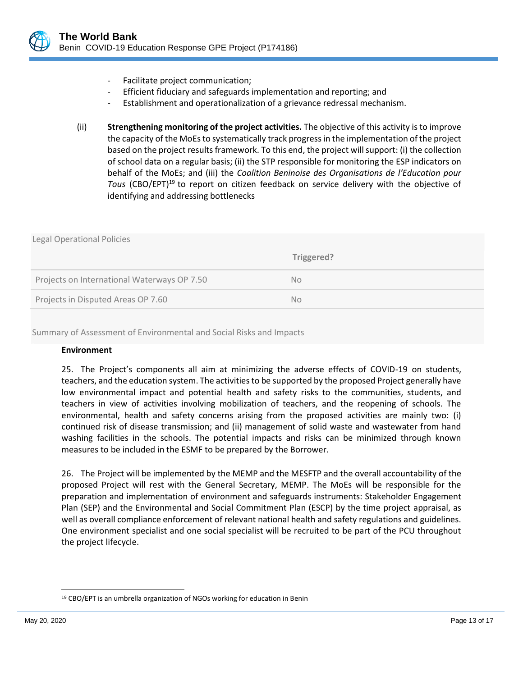- Facilitate project communication;
- Efficient fiduciary and safeguards implementation and reporting; and
- Establishment and operationalization of a grievance redressal mechanism.
- (ii) **Strengthening monitoring of the project activities.** The objective of this activity is to improve the capacity of the MoEs to systematically track progress in the implementation of the project based on the project results framework. To this end, the project will support: (i) the collection of school data on a regular basis; (ii) the STP responsible for monitoring the ESP indicators on behalf of the MoEs; and (iii) the *Coalition Beninoise des Organisations de l'Education pour Tous* (CBO/EPT)<sup>19</sup> to report on citizen feedback on service delivery with the objective of identifying and addressing bottlenecks

| <b>Legal Operational Policies</b>           |            |
|---------------------------------------------|------------|
|                                             | Triggered? |
| Projects on International Waterways OP 7.50 | <b>No</b>  |
| Projects in Disputed Areas OP 7.60          | No.        |
|                                             |            |

Summary of Assessment of Environmental and Social Risks and Impacts

## **Environment**

25. The Project's components all aim at minimizing the adverse effects of COVID-19 on students, teachers, and the education system. The activities to be supported by the proposed Project generally have low environmental impact and potential health and safety risks to the communities, students, and teachers in view of activities involving mobilization of teachers, and the reopening of schools. The environmental, health and safety concerns arising from the proposed activities are mainly two: (i) continued risk of disease transmission; and (ii) management of solid waste and wastewater from hand washing facilities in the schools. The potential impacts and risks can be minimized through known measures to be included in the ESMF to be prepared by the Borrower.

26. The Project will be implemented by the MEMP and the MESFTP and the overall accountability of the proposed Project will rest with the General Secretary, MEMP. The MoEs will be responsible for the preparation and implementation of environment and safeguards instruments: Stakeholder Engagement Plan (SEP) and the Environmental and Social Commitment Plan (ESCP) by the time project appraisal, as well as overall compliance enforcement of relevant national health and safety regulations and guidelines. One environment specialist and one social specialist will be recruited to be part of the PCU throughout the project lifecycle.

<sup>&</sup>lt;sup>19</sup> CBO/EPT is an umbrella organization of NGOs working for education in Benin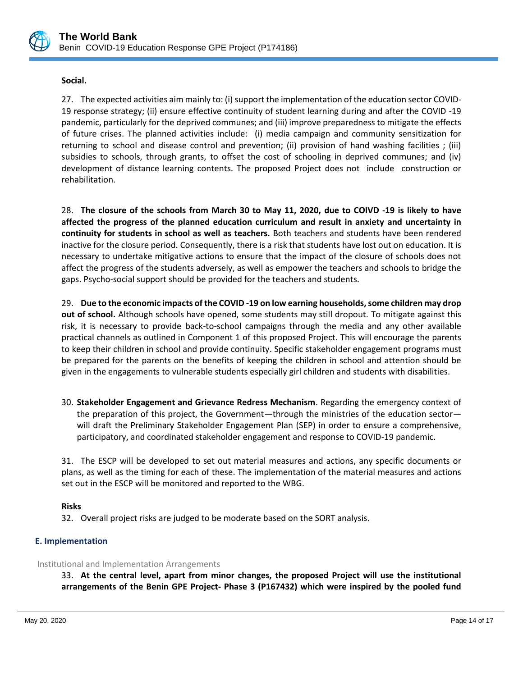

## **Social.**

27. The expected activities aim mainly to: (i) support the implementation of the education sector COVID-19 response strategy; (ii) ensure effective continuity of student learning during and after the COVID -19 pandemic, particularly for the deprived communes; and (iii) improve preparedness to mitigate the effects of future crises. The planned activities include: (i) media campaign and community sensitization for returning to school and disease control and prevention; (ii) provision of hand washing facilities ; (iii) subsidies to schools, through grants, to offset the cost of schooling in deprived communes; and (iv) development of distance learning contents. The proposed Project does not include construction or rehabilitation.

28. **The closure of the schools from March 30 to May 11, 2020, due to COIVD -19 is likely to have affected the progress of the planned education curriculum and result in anxiety and uncertainty in continuity for students in school as well as teachers.** Both teachers and students have been rendered inactive for the closure period. Consequently, there is a risk that students have lost out on education. It is necessary to undertake mitigative actions to ensure that the impact of the closure of schools does not affect the progress of the students adversely, as well as empower the teachers and schools to bridge the gaps. Psycho-social support should be provided for the teachers and students.

29. **Due to the economic impacts of the COVID -19 on low earning households, some children may drop out of school.** Although schools have opened, some students may still dropout. To mitigate against this risk, it is necessary to provide back-to-school campaigns through the media and any other available practical channels as outlined in Component 1 of this proposed Project. This will encourage the parents to keep their children in school and provide continuity. Specific stakeholder engagement programs must be prepared for the parents on the benefits of keeping the children in school and attention should be given in the engagements to vulnerable students especially girl children and students with disabilities.

30. **Stakeholder Engagement and Grievance Redress Mechanism**. Regarding the emergency context of the preparation of this project, the Government—through the ministries of the education sector will draft the Preliminary Stakeholder Engagement Plan (SEP) in order to ensure a comprehensive, participatory, and coordinated stakeholder engagement and response to COVID-19 pandemic.

31. The ESCP will be developed to set out material measures and actions, any specific documents or plans, as well as the timing for each of these. The implementation of the material measures and actions set out in the ESCP will be monitored and reported to the WBG.

## **Risks**

32. Overall project risks are judged to be moderate based on the SORT analysis.

## **E. Implementation**

#### Institutional and Implementation Arrangements

33. **At the central level, apart from minor changes, the proposed Project will use the institutional arrangements of the Benin GPE Project- Phase 3 (P167432) which were inspired by the pooled fund**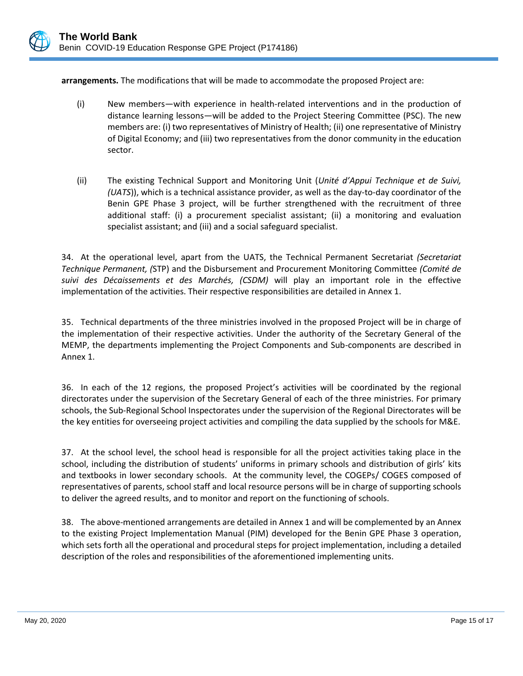

**arrangements.** The modifications that will be made to accommodate the proposed Project are:

- (i) New members—with experience in health-related interventions and in the production of distance learning lessons—will be added to the Project Steering Committee (PSC). The new members are: (i) two representatives of Ministry of Health; (ii) one representative of Ministry of Digital Economy; and (iii) two representatives from the donor community in the education sector.
- (ii) The existing Technical Support and Monitoring Unit (*Unité d'Appui Technique et de Suivi, (UATS*)), which is a technical assistance provider, as well as the day-to-day coordinator of the Benin GPE Phase 3 project, will be further strengthened with the recruitment of three additional staff: (i) a procurement specialist assistant; (ii) a monitoring and evaluation specialist assistant; and (iii) and a social safeguard specialist.

34. At the operational level, apart from the UATS, the Technical Permanent Secretariat *(Secretariat Technique Permanent, (*STP) and the Disbursement and Procurement Monitoring Committee *(Comité de suivi des Décaissements et des Marchés, (CSDM)* will play an important role in the effective implementation of the activities. Their respective responsibilities are detailed in Annex 1.

35. Technical departments of the three ministries involved in the proposed Project will be in charge of the implementation of their respective activities. Under the authority of the Secretary General of the MEMP, the departments implementing the Project Components and Sub-components are described in Annex 1.

36. In each of the 12 regions, the proposed Project's activities will be coordinated by the regional directorates under the supervision of the Secretary General of each of the three ministries. For primary schools, the Sub-Regional School Inspectorates under the supervision of the Regional Directorates will be the key entities for overseeing project activities and compiling the data supplied by the schools for M&E.

37. At the school level, the school head is responsible for all the project activities taking place in the school, including the distribution of students' uniforms in primary schools and distribution of girls' kits and textbooks in lower secondary schools. At the community level, the COGEPs/ COGES composed of representatives of parents, school staff and local resource persons will be in charge of supporting schools to deliver the agreed results, and to monitor and report on the functioning of schools.

38. The above-mentioned arrangements are detailed in Annex 1 and will be complemented by an Annex to the existing Project Implementation Manual (PIM) developed for the Benin GPE Phase 3 operation, which sets forth all the operational and procedural steps for project implementation, including a detailed description of the roles and responsibilities of the aforementioned implementing units.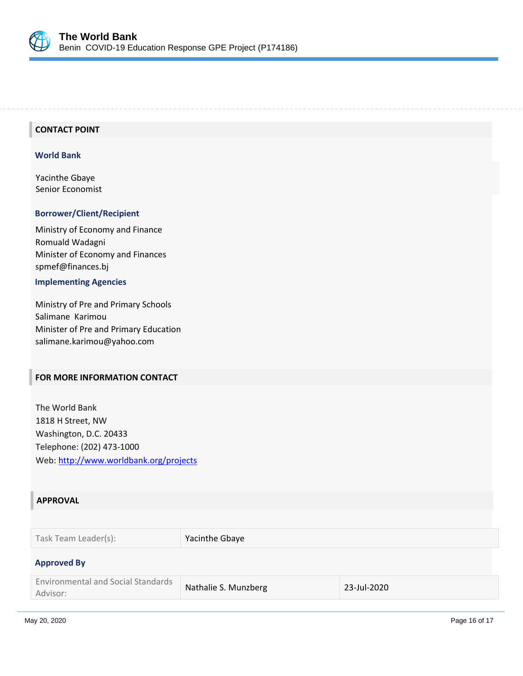

## **CONTACT POINT**

#### **World Bank**

Yacinthe Gbaye Senior Economist

#### **Borrower/Client/Recipient**

Ministry of Economy and Finance Romuald Wadagni Minister of Economy and Finances spmef@finances.bj

## **Implementing Agencies**

Ministry of Pre and Primary Schools Salimane Karimou Minister of Pre and Primary Education salimane.karimou@yahoo.com

### **FOR MORE INFORMATION CONTACT**

The World Bank 1818 H Street, NW Washington, D.C. 20433 Telephone: (202) 473-1000 Web:<http://www.worldbank.org/projects>

#### **APPROVAL**

| Task Team Leader(s): | Yacinthe Gbaye |
|----------------------|----------------|
|                      |                |

#### **Approved By**

| <b>Environmental and Social Standards</b> | Nathalie S. Munzberg | 23-Jul-2020 |
|-------------------------------------------|----------------------|-------------|
| Advisor:                                  |                      |             |